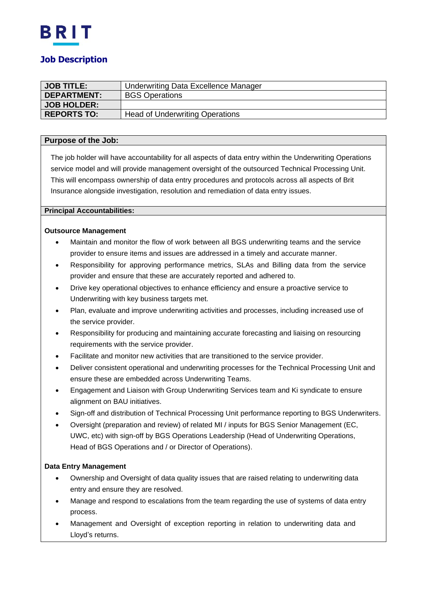

# **JOB TITLE:** | Underwriting Data Excellence Manager **DEPARTMENT:** BGS Operations **JOB HOLDER: REPORTS TO:** | Head of Underwriting Operations

## **Purpose of the Job:**

The job holder will have accountability for all aspects of data entry within the Underwriting Operations service model and will provide management oversight of the outsourced Technical Processing Unit. This will encompass ownership of data entry procedures and protocols across all aspects of Brit Insurance alongside investigation, resolution and remediation of data entry issues.

#### **Principal Accountabilities:**

### **Outsource Management**

- Maintain and monitor the flow of work between all BGS underwriting teams and the service provider to ensure items and issues are addressed in a timely and accurate manner.
- Responsibility for approving performance metrics, SLAs and Billing data from the service provider and ensure that these are accurately reported and adhered to.
- Drive key operational objectives to enhance efficiency and ensure a proactive service to Underwriting with key business targets met.
- Plan, evaluate and improve underwriting activities and processes, including increased use of the service provider.
- Responsibility for producing and maintaining accurate forecasting and liaising on resourcing requirements with the service provider.
- Facilitate and monitor new activities that are transitioned to the service provider.
- Deliver consistent operational and underwriting processes for the Technical Processing Unit and ensure these are embedded across Underwriting Teams.
- Engagement and Liaison with Group Underwriting Services team and Ki syndicate to ensure alignment on BAU initiatives.
- Sign-off and distribution of Technical Processing Unit performance reporting to BGS Underwriters.
- Oversight (preparation and review) of related MI / inputs for BGS Senior Management (EC, UWC, etc) with sign-off by BGS Operations Leadership (Head of Underwriting Operations, Head of BGS Operations and / or Director of Operations).

## **Data Entry Management**

- Ownership and Oversight of data quality issues that are raised relating to underwriting data entry and ensure they are resolved.
- Manage and respond to escalations from the team regarding the use of systems of data entry process.
- Management and Oversight of exception reporting in relation to underwriting data and Lloyd's returns.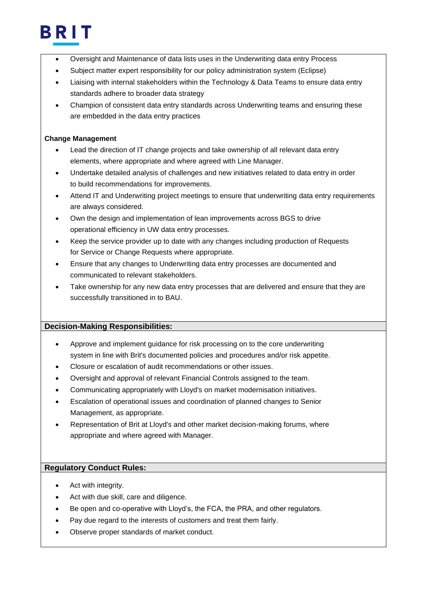

- Oversight and Maintenance of data lists uses in the Underwriting data entry Process
- Subject matter expert responsibility for our policy administration system (Eclipse)
- Liaising with internal stakeholders within the Technology & Data Teams to ensure data entry standards adhere to broader data strategy
- Champion of consistent data entry standards across Underwriting teams and ensuring these are embedded in the data entry practices

### **Change Management**

- Lead the direction of IT change projects and take ownership of all relevant data entry elements, where appropriate and where agreed with Line Manager.
- Undertake detailed analysis of challenges and new initiatives related to data entry in order to build recommendations for improvements.
- Attend IT and Underwriting project meetings to ensure that underwriting data entry requirements are always considered.
- Own the design and implementation of lean improvements across BGS to drive operational efficiency in UW data entry processes.
- Keep the service provider up to date with any changes including production of Requests for Service or Change Requests where appropriate.
- Ensure that any changes to Underwriting data entry processes are documented and communicated to relevant stakeholders.
- Take ownership for any new data entry processes that are delivered and ensure that they are successfully transitioned in to BAU.

## **Decision-Making Responsibilities:**

- Approve and implement guidance for risk processing on to the core underwriting system in line with Brit's documented policies and procedures and/or risk appetite.
- Closure or escalation of audit recommendations or other issues.
- Oversight and approval of relevant Financial Controls assigned to the team.
- Communicating appropriately with Lloyd's on market modernisation initiatives.
- Escalation of operational issues and coordination of planned changes to Senior Management, as appropriate.
- Representation of Brit at Lloyd's and other market decision-making forums, where appropriate and where agreed with Manager.

## **Regulatory Conduct Rules:**

- Act with integrity.
- Act with due skill, care and diligence.
- Be open and co-operative with Lloyd's, the FCA, the PRA, and other regulators.
- Pay due regard to the interests of customers and treat them fairly.
- Observe proper standards of market conduct.